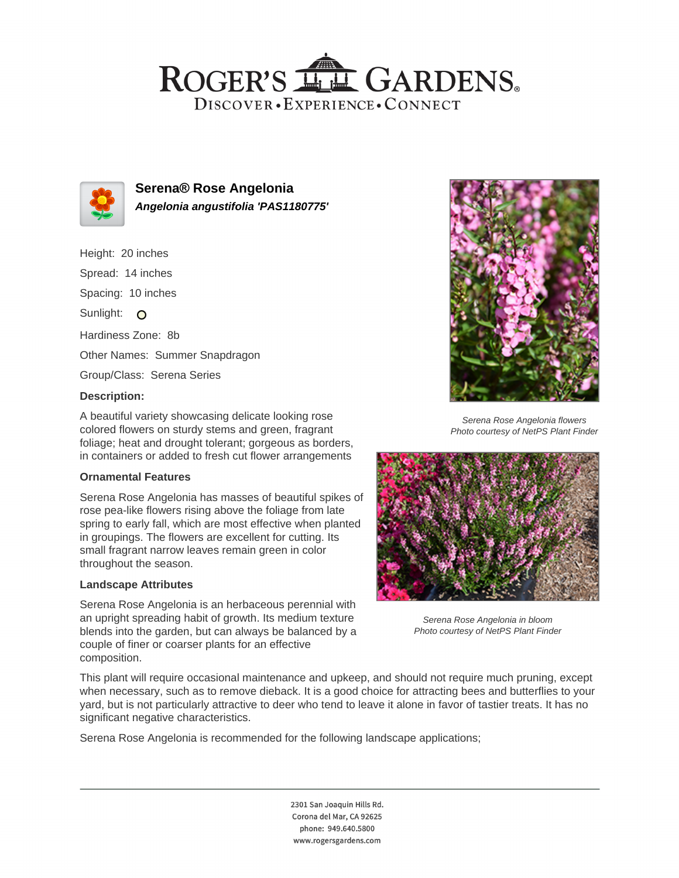## ROGER'S LL GARDENS. DISCOVER · EXPERIENCE · CONNECT



**Serena® Rose Angelonia Angelonia angustifolia 'PAS1180775'**

Height: 20 inches Spread: 14 inches Spacing: 10 inches Sunlight: O Hardiness Zone: 8b Other Names: Summer Snapdragon Group/Class: Serena Series

### **Description:**

A beautiful variety showcasing delicate looking rose colored flowers on sturdy stems and green, fragrant foliage; heat and drought tolerant; gorgeous as borders, in containers or added to fresh cut flower arrangements

#### **Ornamental Features**

Serena Rose Angelonia has masses of beautiful spikes of rose pea-like flowers rising above the foliage from late spring to early fall, which are most effective when planted in groupings. The flowers are excellent for cutting. Its small fragrant narrow leaves remain green in color throughout the season.

#### **Landscape Attributes**

Serena Rose Angelonia is an herbaceous perennial with an upright spreading habit of growth. Its medium texture blends into the garden, but can always be balanced by a couple of finer or coarser plants for an effective composition.



Serena Rose Angelonia flowers Photo courtesy of NetPS Plant Finder



Serena Rose Angelonia in bloom Photo courtesy of NetPS Plant Finder

This plant will require occasional maintenance and upkeep, and should not require much pruning, except when necessary, such as to remove dieback. It is a good choice for attracting bees and butterflies to your yard, but is not particularly attractive to deer who tend to leave it alone in favor of tastier treats. It has no significant negative characteristics.

Serena Rose Angelonia is recommended for the following landscape applications;

2301 San Joaquin Hills Rd. Corona del Mar, CA 92625 phone: 949.640.5800 www.rogersgardens.com